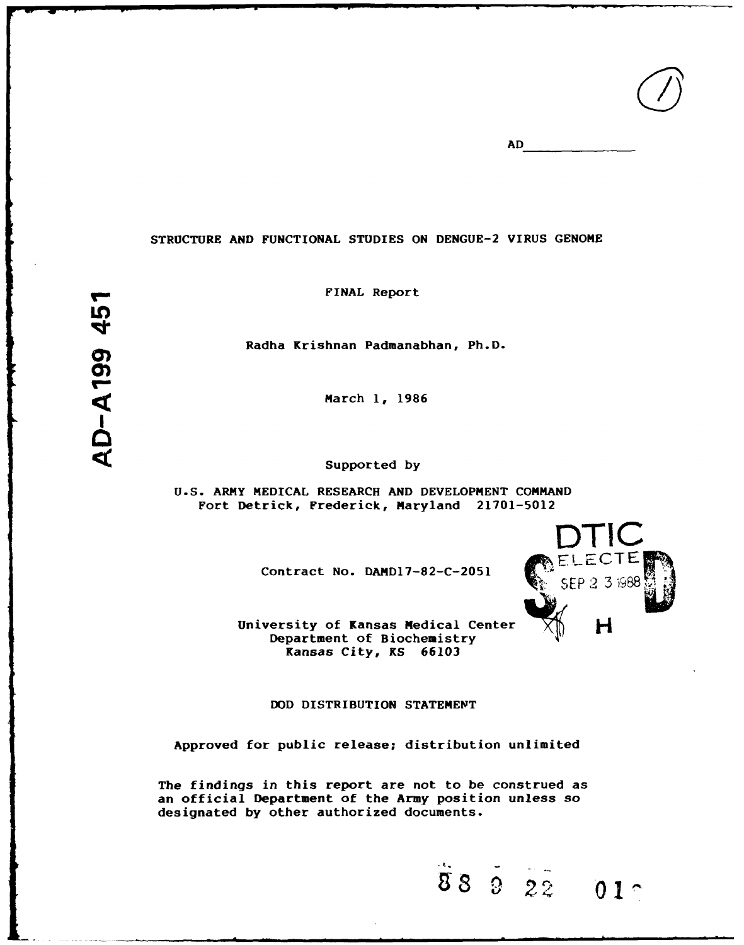AD

**DTIC**

**. 2. ....**

### **STRUCTURE AND FUNCTIONAL** STUDIES **ON DENGUE-2** VIRUS **GENOME**

**FINAL** Report

Radha Krishnan Padmanabhan, Ph.D.

March **1, 1986**

Supported **by**

**U.S.** ARMY MEDICAL RESEARCH **AND** DEVELOPMENT **COMMAND** Fort Detrick, Frederick, Maryland **21701-5012**

**Contract No. DAMD17-82-C-2051 PCTER** SEP 2 3 1988

University of Kansas Medical Center  $\bigtimes \leftarrow$  H Kansas City, KS **66103**

## **DOD DISTRIBUTION** STATEMENT

Approved for public release; distribution unlimited

The findings in this report are not to be construed as an official Department of the Army position unless so designated **by** other authorized documents.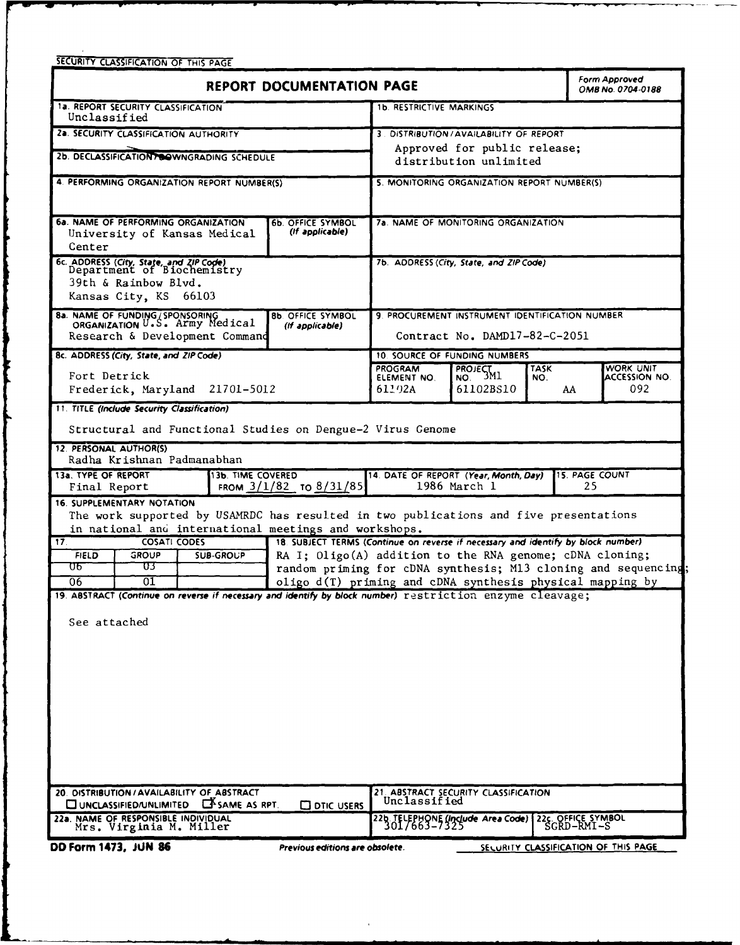| SECURITY CLASSIFICATION OF THIS PAGE                                                                                   |                                                                                                                                               |                                         |                                                                      |                    |                                    |                                      |
|------------------------------------------------------------------------------------------------------------------------|-----------------------------------------------------------------------------------------------------------------------------------------------|-----------------------------------------|----------------------------------------------------------------------|--------------------|------------------------------------|--------------------------------------|
|                                                                                                                        | REPORT DOCUMENTATION PAGE                                                                                                                     |                                         |                                                                      |                    | Form Approved<br>OMB No. 0704-0188 |                                      |
| 1a. REPORT SECURITY CLASSIFICATION<br>Unclassified                                                                     | <b>1b. RESTRICTIVE MARKINGS</b>                                                                                                               |                                         |                                                                      |                    |                                    |                                      |
| <b>2a. SECURITY CLASSIFICATION AUTHORITY</b>                                                                           | 3. DISTRIBUTION / AVAILABILITY OF REPORT                                                                                                      |                                         |                                                                      |                    |                                    |                                      |
| 2b. DECLASSIFICATION / OWNGRADING SCHEDULE                                                                             | Approved for public release;<br>distribution unlimited                                                                                        |                                         |                                                                      |                    |                                    |                                      |
| 4. PERFORMING ORGANIZATION REPORT NUMBER(S)                                                                            | 5. MONITORING ORGANIZATION REPORT NUMBER(S)                                                                                                   |                                         |                                                                      |                    |                                    |                                      |
| 6a. NAME OF PERFORMING ORGANIZATION<br>University of Kansas Medical<br>Center                                          | <b>7a. NAME OF MONITORING ORGANIZATION</b>                                                                                                    |                                         |                                                                      |                    |                                    |                                      |
| 6c. ADDRESS (City, State, and ZIP Code)<br>Department of Biochemistry<br>39th & Rainbow Blvd.<br>Kansas City, KS 66103 | 7b. ADDRESS (City, State, and ZIP Code)                                                                                                       |                                         |                                                                      |                    |                                    |                                      |
| 8a. NAME OF FUNDING / SPONSORING<br>ORGANIZATION U.S. Army Medical<br>Research & Development Command                   | 9. PROCUREMENT INSTRUMENT IDENTIFICATION NUMBER<br>Contract No. DAMD17-82-C-2051                                                              |                                         |                                                                      |                    |                                    |                                      |
| 8c. ADDRESS (City, State, and ZIP Code)                                                                                |                                                                                                                                               |                                         | 10. SOURCE OF FUNDING NUMBERS                                        |                    |                                    |                                      |
| Fort Detrick<br>21701-5012<br>Frederick, Maryland                                                                      |                                                                                                                                               | <b>PROGRAM</b><br>ELEMENT NO.<br>61102A | <b>PROJECT</b><br>NO. 3M1<br>61102BS10                               | <b>TASK</b><br>NO. | AA                                 | WORK UNIT<br>ACCESSION NO.<br>092    |
| 11. TITLE (Include Security Classification)                                                                            |                                                                                                                                               |                                         |                                                                      |                    |                                    |                                      |
| Structural and Functional Studies on Dengue-2 Virus Genome                                                             |                                                                                                                                               |                                         |                                                                      |                    |                                    |                                      |
| 12. PERSONAL AUTHOR(S)                                                                                                 |                                                                                                                                               |                                         |                                                                      |                    |                                    |                                      |
| Radha Krishnan Padmanabhan                                                                                             |                                                                                                                                               |                                         |                                                                      |                    |                                    |                                      |
| 13a. TYPE OF REPORT<br>Final Report                                                                                    | 13b. TIME COVERED<br>FROM 3/1/82 TO 8/31/85                                                                                                   | 14. DATE OF REPORT (Year, Month, Day)   | 1986 March 1                                                         |                    | 15. PAGE COUNT<br>25               |                                      |
| <b>16. SUPPLEMENTARY NOTATION</b>                                                                                      |                                                                                                                                               |                                         |                                                                      |                    |                                    |                                      |
| The work supported by USAMRDC has resulted in two publications and five presentations                                  |                                                                                                                                               |                                         |                                                                      |                    |                                    |                                      |
| in national and international meetings and workshops.                                                                  |                                                                                                                                               |                                         |                                                                      |                    |                                    |                                      |
| <b>COSATI CODES</b><br>17.<br>GROUP<br><b>SUB-GROUP</b><br><b>FIELD</b>                                                | 18. SUBJECT TERMS (Continue on reverse if necessary and identify by block number)<br>RA I; Oligo(A) addition to the RNA genome; cDNA cloning; |                                         |                                                                      |                    |                                    |                                      |
| ण्ठ<br>ण्ड                                                                                                             | random priming for cDNA synthesis; M13 cloning and sequencing;                                                                                |                                         |                                                                      |                    |                                    |                                      |
| $\overline{01}$<br>06                                                                                                  | oligo d(T) priming and cDNA synthesis physical mapping by                                                                                     |                                         |                                                                      |                    |                                    |                                      |
| 19. ABSTRACT (Continue on reverse if necessary and identify by block number) restriction enzyme cleavage;              |                                                                                                                                               |                                         |                                                                      |                    |                                    |                                      |
| See attached                                                                                                           |                                                                                                                                               |                                         |                                                                      |                    |                                    |                                      |
|                                                                                                                        |                                                                                                                                               |                                         |                                                                      |                    |                                    |                                      |
|                                                                                                                        |                                                                                                                                               |                                         |                                                                      |                    |                                    |                                      |
|                                                                                                                        |                                                                                                                                               |                                         |                                                                      |                    |                                    |                                      |
| 20. DISTRIBUTION / AVAILABILITY OF ABSTRACT<br><b>EL UNCLASSIFIED/UNLIMITED EX SAME AS RPT.</b>                        | 21. ABSTRACT SECURITY CLASSIFICATION<br><b>Unclassified</b>                                                                                   |                                         |                                                                      |                    |                                    |                                      |
| 22a. NAME OF RESPONSIBLE INDIVIDUAL Mrs. Virginia M. Miller                                                            |                                                                                                                                               |                                         | 22b. TELEPHONE Unclude Area Code) 22c. OFFICE SYMBOL<br>301/663-7325 |                    |                                    |                                      |
| DD Form 1473, JUN 86                                                                                                   | Previous editions are obsolete.                                                                                                               |                                         |                                                                      |                    |                                    | SECURITY CLASSIFICATION OF THIS PAGE |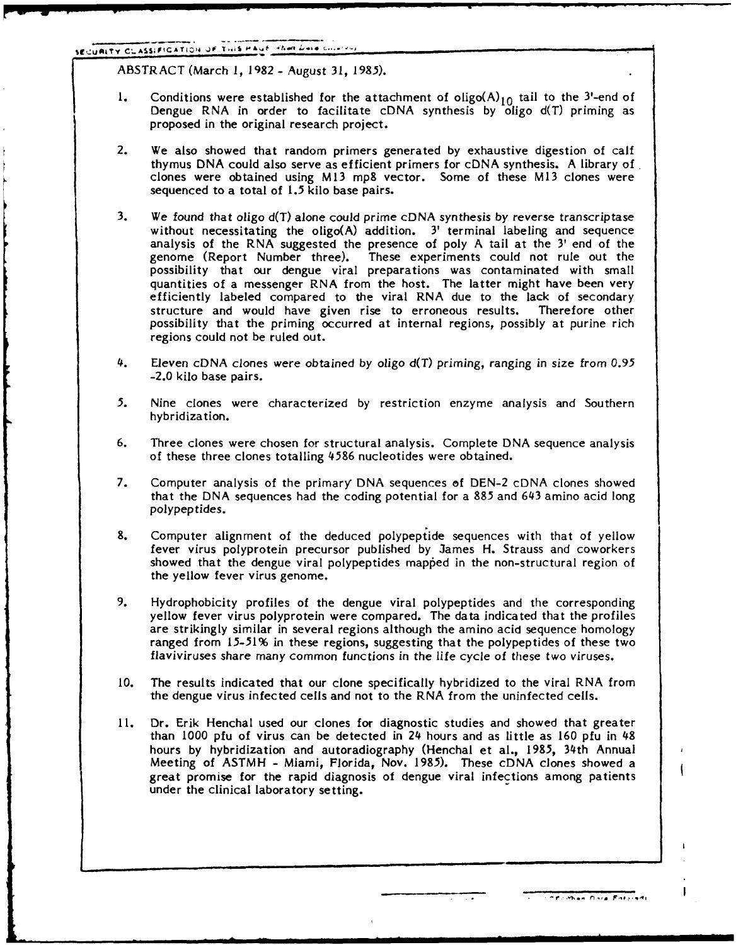ABSTRACT (March **1,** 1982 **-** August **31,** 1985).

- **1.** Conditions were established for the attachment of oligo(A) $_{10}$  tail to the 3'-end of Dengue RNA in order to facilitate cDNA synthesis by oligo  $d(T)$  priming as proposed in the original research project.
- 2. We also showed that random primers generated by exhaustive digestion of calf thymus DNA could also serve as efficient primers for cDNA synthesis. A library of. clones were obtained using M13 **mp8** vector. Some of these M13 clones were sequenced to a total of 1.5 kilo base pairs.
- **3.** We found that oligo d(T) alone could prime cDNA synthesis by reverse transcriptase without necessitating the oligo(A) addition. 3' terminal labeling and sequence analysis of the RNA suggested the presence of poly A tail at the 3' end of the genome (Report Number three). These experiments could not rule out the These experiments could not rule out the possibility that our dengue viral preparations was contaminated with small quantities of a messenger RNA from the host. The latter might have been very efficiently labeled compared to the viral RNA due to the lack of secondary structure and would have given rise to erroneous results. Therefore other possibility that the priming occurred at internal regions, possibly at purine rich regions could not be ruled out.
- 4. Eleven cDNA clones were obtained by oligo d(T) priming, ranging in size from **0.95** -2.0 kilo base pairs.
- **5.** Nine clones were characterized by restriction enzyme analysis and Southern hybridization.
- **6.** Three clones were chosen for structural analysis. Complete DNA sequence analysis of these three clones totalling 4586 nucleotides were obtained.
- **7.** Computer analysis of the primary' DNA sequences *of* DEN-2 cDNA clones showed that the DNA sequences had the coding potential for a 885 and 643 amino acid long polypeptides.
- **8.** Computer alignment of the deduced polypeptide sequences with that of yellow fever virus polyprotein precursor published by 3ames H. Strauss and coworkers showed that the dengue viral polypeptides mapped in the non-structural region of the yellow fever virus genome.
- 9. Hydrophobicity profiles of the dengue viral polypeptides and the corresponding yellow fever virus polyprotein were compared. The data indicated that the profiles are strikingly similar in several regions although the amino acid sequence homology ranged from 15-51% in these regions, suggesting that the polypeptides of these two flaviviruses share many common functions in the life cycle of these two viruses.
- **10.** The results indicated that our clone specifically hybridized to the viral RNA from the dengue virus infected cells and not to the RNA from the uninfected cells.
- **I1.** Dr. Erik Henchal used our clones for diagnostic studies and showed that greater than **1000** pfu of virus can be detected in 24 hours and as little as **160** pfu in 48 hours **by** hybridization and autoradiography (Henchal et al., 1985, 34th Annual Meeting of **ASTMH -** Miami, Florida, Nov. **1985).** These cDNA clones showed a great promise for the rapid diagnosis of dengue viral infections among patients under the clinical laboratory setting.

Comen Dare Fotoredi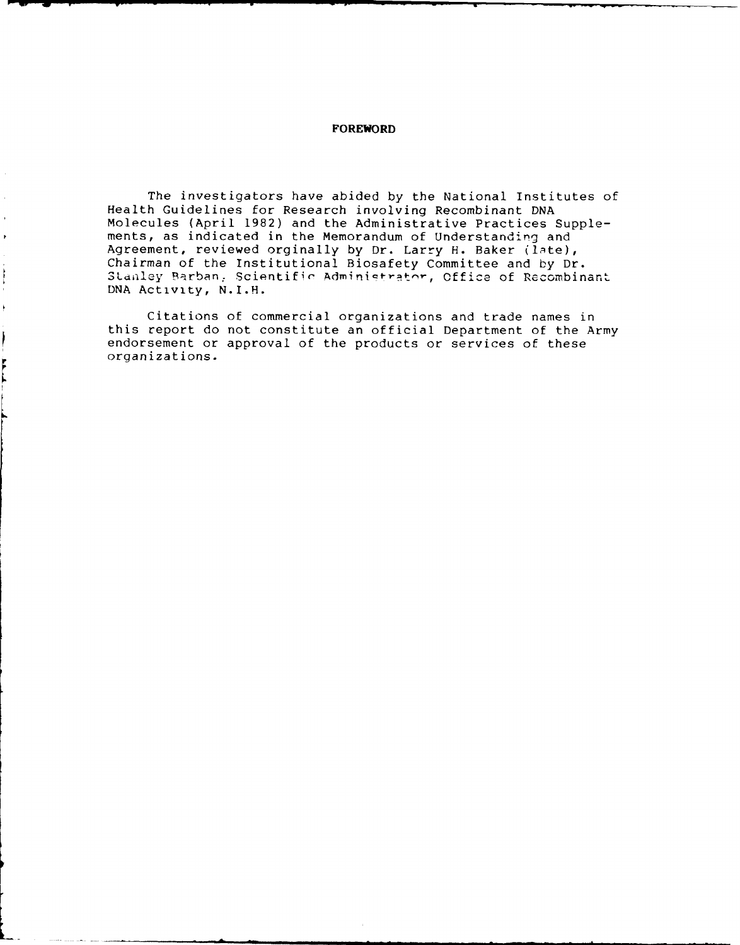#### **FOREWORD**

The investigators have abided by the National Institutes of Health Guidelines for Research involving Recombinant DNA Molecules (April 1982) and the Administrative Practices Supplements, as indicated in the Memorandum of Understanding and Agreement, reviewed orginally by Dr. Larry H. Baker (late), Chairman of the Institutional Biosafety Committee and by Dr. Stanley Barban, Scientific Administrator, Office of Recombinant DNA Activity, N.I.H.

Citations of commercial organizations and trade names in this report do not constitute an official Department of the Army endorsement or approval of the products or services of these organizations.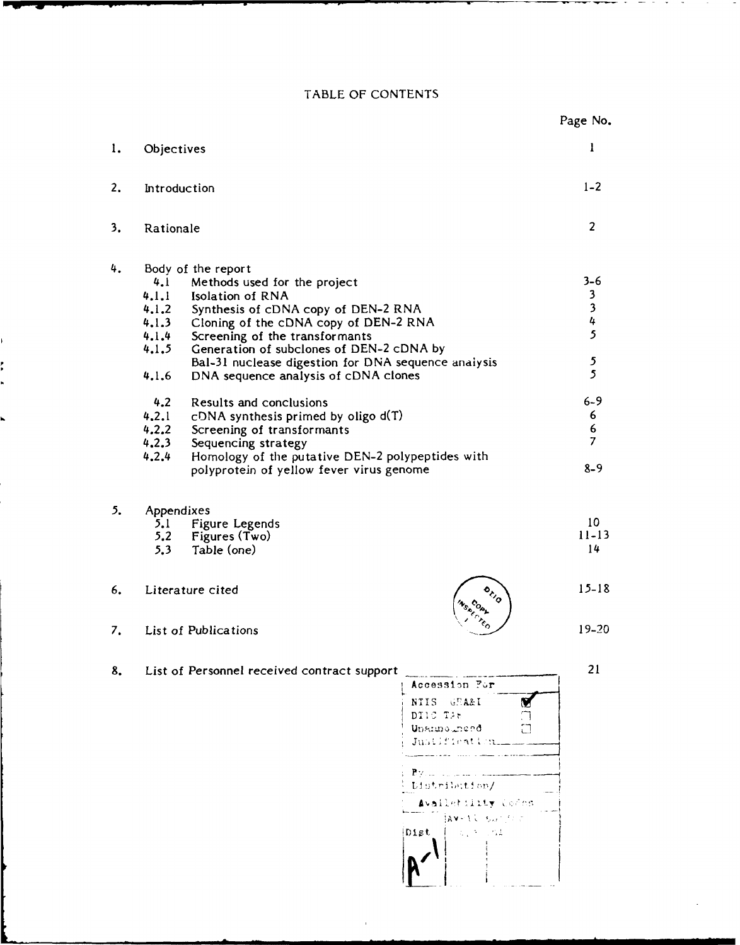| TABLE OF CONTENTS |  |  |  |  |  |  |  |  |
|-------------------|--|--|--|--|--|--|--|--|
|-------------------|--|--|--|--|--|--|--|--|

|    |                                                                                                                                                                                                                                                                                                                                                                                                                                                                                                                                                                                                                                                                          | Page No.                                                                                                               |
|----|--------------------------------------------------------------------------------------------------------------------------------------------------------------------------------------------------------------------------------------------------------------------------------------------------------------------------------------------------------------------------------------------------------------------------------------------------------------------------------------------------------------------------------------------------------------------------------------------------------------------------------------------------------------------------|------------------------------------------------------------------------------------------------------------------------|
| 1. | Objectives                                                                                                                                                                                                                                                                                                                                                                                                                                                                                                                                                                                                                                                               | 1                                                                                                                      |
| 2. | Introduction                                                                                                                                                                                                                                                                                                                                                                                                                                                                                                                                                                                                                                                             | $1 - 2$                                                                                                                |
| 3. | Rationale                                                                                                                                                                                                                                                                                                                                                                                                                                                                                                                                                                                                                                                                | $\overline{2}$                                                                                                         |
| 4. | Body of the report<br>4.1<br>Methods used for the project<br>4.1.1<br>Isolation of RNA<br>4.1.2<br>Synthesis of cDNA copy of DEN-2 RNA<br>Cloning of the cDNA copy of DEN-2 RNA<br>4.1.3<br>4.1.4<br>Screening of the transformants<br>4.1.5<br>Generation of subclones of DEN-2 cDNA by<br>Bal-31 nuclease digestion for DNA sequence analysis<br>DNA sequence analysis of cDNA clones<br>4.1.6<br>4.2<br>Results and conclusions<br>4, 2, 1<br>$cDNA$ synthesis primed by oligo $d(T)$<br>4.2.2<br>Screening of transformants<br>4.2.3<br>Sequencing strategy<br>Homology of the putative DEN-2 polypeptides with<br>4.2.4<br>polyprotein of yellow fever virus genome | $3 - 6$<br>3<br>$\overline{\mathbf{3}}$<br>4<br>5<br>5<br>$\overline{\mathbf{5}}$<br>$6 - 9$<br>6<br>6<br>7<br>$8 - 9$ |
| 5. | Appendixes<br>Figure Legends<br>5.1<br>Figures (Two)<br>5.2<br>Table (one)<br>5,3                                                                                                                                                                                                                                                                                                                                                                                                                                                                                                                                                                                        | 10 <sup>°</sup><br>$11 - 13$<br>14                                                                                     |
| 6. | Literature cited<br>$o_{\mathcal{E}_{\mathcal{O}}}$<br>INS ROOM                                                                                                                                                                                                                                                                                                                                                                                                                                                                                                                                                                                                          | $15 - 18$                                                                                                              |
| 7. | List of Publications                                                                                                                                                                                                                                                                                                                                                                                                                                                                                                                                                                                                                                                     | 19-20                                                                                                                  |
| 8. | List of Personnel received contract support<br>Accession For<br>NTIS GEA&I<br>M<br>DIIC TAE<br>Unamounced<br>a<br>Justification<br>Eistribution/<br>Availetility Codes<br>Avett Garder<br>for a great creat<br>D1st                                                                                                                                                                                                                                                                                                                                                                                                                                                      | 21                                                                                                                     |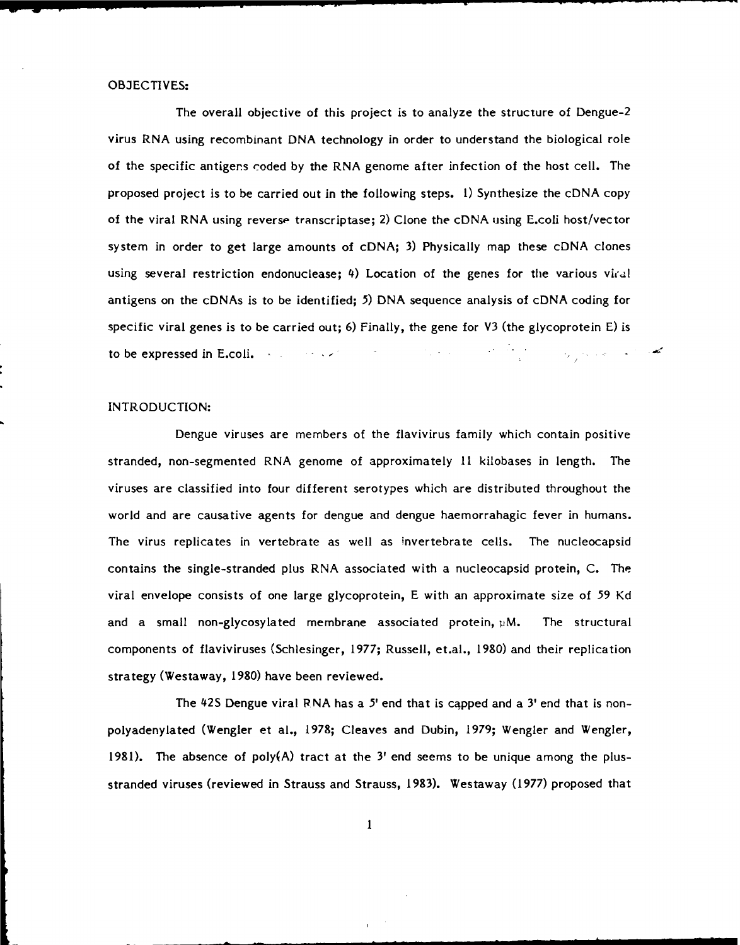The overall objective of this project is to analyze the structure of Dengue-2 virus RNA using recombinant DNA technology in order to understand the biological role of the specific antigens coded **by** the RNA genome after infection of the host cell. The proposed project is to be carried out in the following steps. **1)** Synthesize the cDNA copy of the viral RNA using reverse transcriptase; 2) Clone the cDNA using E.coli host/vector system in order to get large amounts of cDNA; **3)** Physically map these cDNA clones using several restriction endonuclease; 4) Location of the genes for the various vital antigens on the cDNAs is to be identified; 5) DNA sequence analysis of cDNA coding for specific viral genes is to be carried out; **6)** Finally, the gene for V3 (the glycoprotein **E)** is to be expressed in E.coli. **And the expressed in E.coli.** And the expressed in E.coli. **1999** 

#### INTRODUCTION:

Dengue viruses are members of the flavivirus family which contain positive stranded, non-segmented RNA genome of approximately **11** kilobases in length. The viruses are classified into four different serotypes which are distributed throughout the world and are causative agents for dengue and dengue haemorrahagic fever in humans. The virus replicates in vertebrate as well as invertebrate cells. The nucleocapsid contains the single-stranded plus RNA associated with a nucleocapsid protein, C. The viral envelope consists of one large glycoprotein, E with an approximate size of 59 Kd and a small non-glycosylated membrane associated protein,  $\mu$ M. The structural components of flaviviruses (Schlesinger, 1977; Russell, et.al., 1980) and their replication strategy (Westaway, 1980) have been reviewed.

The 42S Dengue viral RNA has a **5'** end that is capped and a 3' end that is nonpolyadenylated (Wengler et al., **1978;** Cleaves and Dubin, 1979; Wengler and Wengler, **1981).** The absence of poly(A) tract at the **3'** end seems to be unique among the plusstranded viruses (reviewed in Strauss and Strauss, 1983). Westaway (1977) proposed that

**I**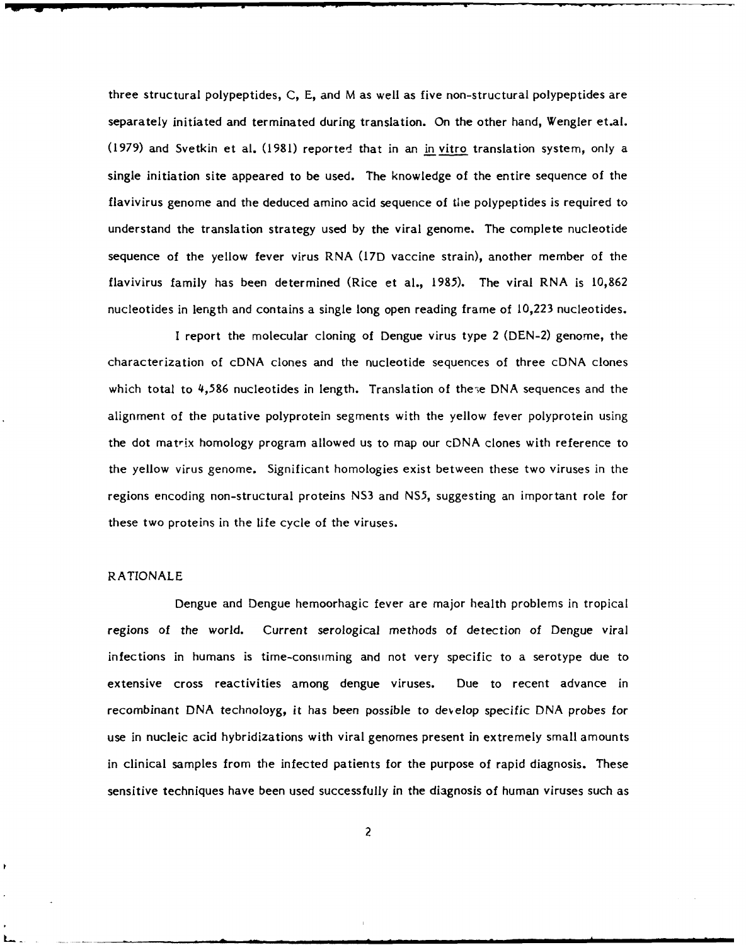three structural polypeptides, C, **E,** and M as well as five non-structural polypeptides are separately initiated and terminated during translation. On the other hand, Wengler et.al. (1979) and Svetkin et al. (1981) reported that in an in vitro translation system, only a single initiation site appeared to be used. The knowledge of the entire sequence of the flavivirus genome and the deduced amino acid sequence of the polypeptides is required to understand the translation strategy used by the viral genome. The complete nucleotide sequence of the yellow fever virus RNA **(17D** vaccine strain), another member of the flavivirus family has been determined (Rice et al., 1985). The viral RNA is 10,862 nucleotides in length and contains a single long open reading frame of 10,223 nucleotides.

I report the molecular cloning of Dengue virus type 2 (DEN-2) genome, the characterization of cDNA clones and the nucleotide sequences of three cDNA clones which total to 4,586 nucleotides in length. Translation of these DNA sequences and the alignment of the putative polyprotein segments with the yellow fever polyprotein using the dot matrix homology program allowed us to map our cDNA clones with reference to the yellow virus genome. Significant homologies exist between these two viruses in the regions encoding non-structural proteins **NS3** and NSS, suggesting an important role for these two proteins in the life cycle of the viruses.

## RATIONALE

Dengue and Dengue hemoorhagic fever are major health problems in tropical regions of the world. Current serological methods of detection of Dengue viral infections in humans is time-consuming and not very specific to a serotype due to extensive cross reactivities among dengue viruses. Due to recent advance in recombinant DNA technoloyg, it has been possible to develop specific DNA probes for use in nucleic acid hybridizations with viral genomes present in extremely small amounts in clinical samples from the infected patients for the purpose of rapid diagnosis. These sensitive techniques have been used successfully in the diagnosis of human viruses such as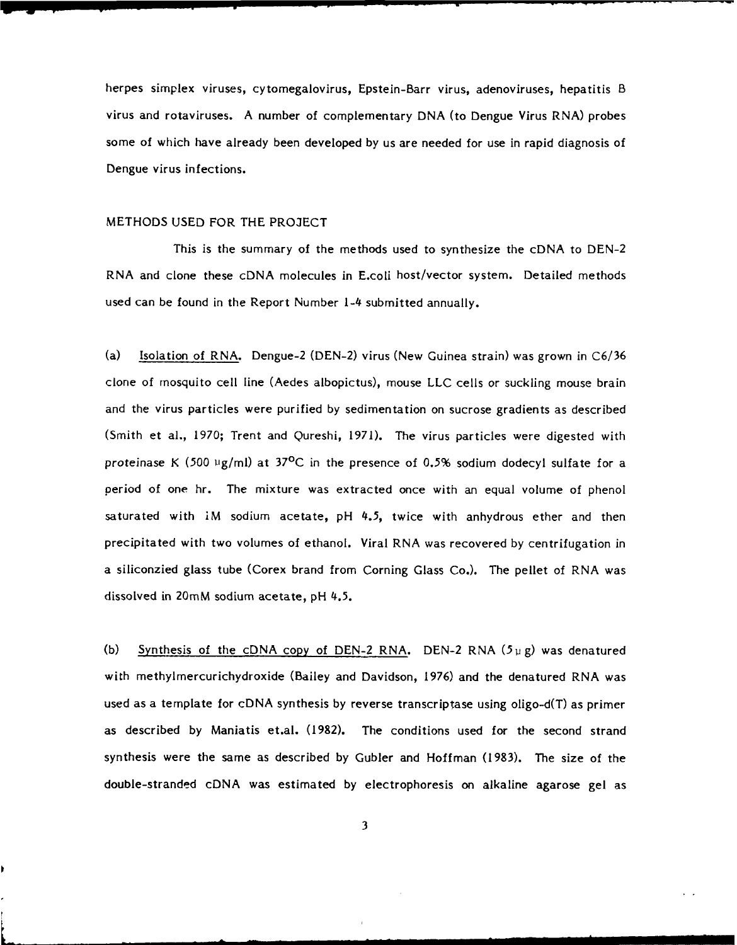herpes simplex viruses, cytomegalovirus, Epstein-Barr virus, adenoviruses, hepatitis B virus and rotaviruses. A number of complementary DNA (to Dengue Virus RNA) probes some of which have already been developed by us are needed for use in rapid diagnosis of Dengue virus infections.

## METHODS USED FOR THE PROJECT

This is the summary of the methods used to synthesize the cDNA to DEN-2 RNA and clone these cDNA molecules in E.coli host/vector system. Detailed methods used can be found in the Report Number 1-4 submitted annually.

(a) Isolation of RNA. Dengue-2 (DEN-2) virus (New Guinea strain) was grown in C6/36 clone of mosquito cell line (Aedes albopictus), mouse LLC cells or suckling mouse brain and the virus particles were purified by sedimentation on sucrose gradients as described (Smith et al., 1970; Trent and Qureshi, 1971). The virus particles were digested with proteinase K (500 µg/ml) at 37<sup>o</sup>C in the presence of 0.5% sodium dodecyl sulfate for a period of one hr. The mixture was extracted once with an equal volume of phenol saturated with iM sodium acetate, pH 4.5, twice with anhydrous ether and then precipitated with two volumes of ethanol. Viral RNA was recovered by centrifugation in a siliconzied glass tube (Corex brand from Corning Glass Co.). The pellet of RNA was dissolved in 20mM sodium acetate, pH 4.5.

(b) Synthesis of the cDNA copy of DEN-2 RNA. DEN-2 RNA ( $5\mu g$ ) was denatured with methylmercurichydroxide (Bailey and Davidson, 1976) and the denatured RNA was used as a template for cDNA synthesis by reverse transcriptase using oligo-d(T) as primer as described by Maniatis et.al. (1982). The conditions used for the second strand synthesis were the same as described by Gubler and Hoffman (1983). The size of the double-stranded cDNA was estimated by electrophoresis on alkaline agarose gel as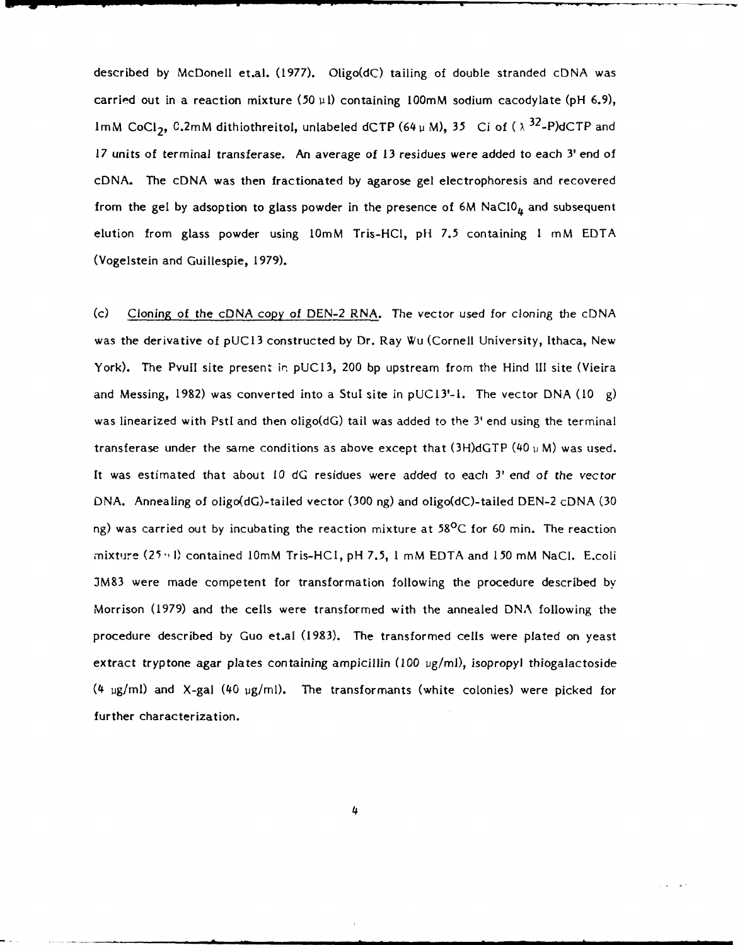described by McDonell et.al. (1977). Oligo(dC) tailing of double stranded cDNA was carried out in a reaction mixture (50  $\mu$ 1) containing 100mM sodium cacodylate (pH 6.9), 1mM CoCl<sub>2</sub>, 0.2mM dithiothreitol, unlabeled dCTP (64  $\mu$  M), 35 Ci of ( $\lambda$  <sup>32</sup>-P)dCTP and 17 units of terminal transferase. An average of 13 residues were added to each 3' end of cDNA. The cDNA was then fractionated by agarose gel electrophoresis and recovered from the gel by adsoption to glass powder in the presence of 6M NaClO<sub>u</sub> and subsequent elution from glass powder using 10mM Tris-HCI, pH 7.5 containing 1 mM EDTA (Vogelstein and Guillespie, 1979).

(c) Cloning of the cDNA copy of DEN-2 RNA. The vector used for cloning the cDNA was the derivative of pUC13 constructed by Dr. Ray Wu (Cornell University, Ithaca, New York). The Pvull site present in pUCI3, 200 bp upstream from the Hind **III** site (Vieira and Messing, 1982) was converted into a Stul site in pUCI3'-I. The vector DNA **(10** g) was linearized with Pstl and then oligo(dG) tail was added to the 3' end using the terminal transferase under the same conditions as above except that  $(3H)dGTP$  (40  $\mu$  M) was used. It was estimated that about **10** dG residues were added to eacti 3' end of the vector DNA. Annealing of oligo(dG)-tailed vector (300 ng) and oligo(dC)-tailed DEN-2 cDNA (30 ng) was carried out by incubating the reaction mixture at  $58^{\circ}$ C for 60 min. The reaction mixtuire (25' I) contained 10mM Tris-HCI, pH 7.5, **1** mM EDTA and 150 mM NaCI. E.coli JM83 were made competent for transformation following the procedure described **by** Morrison (1979) and the cells were transformed with the annealed DNA following the procedure described by Guo et.al (1983). The transformed cells were plated on yeast extract tryptone agar plates containing ampicillin **(100** ig/ml), isopropyl thiogalactoside (4  $\mu$ g/ml) and X-gal (40  $\mu$ g/ml). The transformants (white colonies) were picked for further characterization.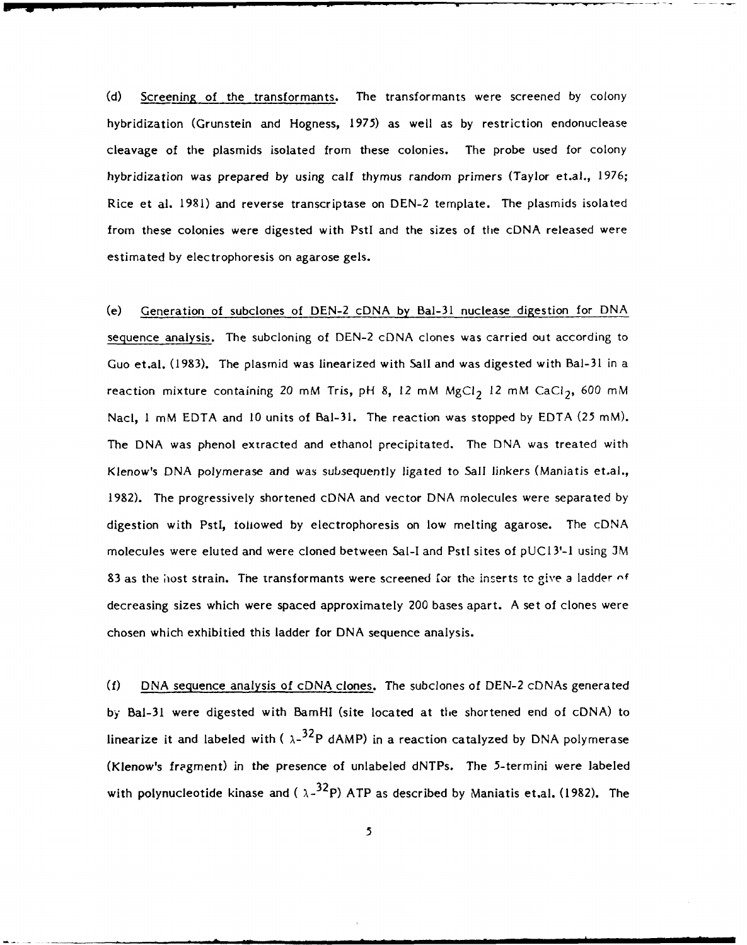(d) Screening of the transformants. The transformants were screened by colony hybridization (Grunstein and Hogness, 1975) as well as by restriction endonuclease cleavage of the plasmids isolated from these colonies. The probe used for colony hybridization was prepared by using calf thymus random primers (Taylor et.al., 1976; Rice et al. **1981)** and reverse transcriptase on DEN-2 template. The plasmids isolated from these colonies were digested with Pstl and the sizes of the cDNA released were estimated by electrophoresis on agarose gels.

(e) Generation of subclones of DEN-2 cDNA by Bal-31 nuclease digestion for DNA sequence analysis. The subcloning of DEN-2 cDNA clones was carried out according to Guo et.al. (1983). The plasmid was linearized with Sall and was digested with Bal-31 in a reaction mixture containing 20 mM Tris, pH 8, 12 mM MgCl<sub>2</sub> 12 mM CaCl<sub>2</sub>, 600 mM NacI, **1** mM EDTA and **10** units of Bal-31. The reaction was stopped by EDTA (25 mM). The DNA was phenol extracted and ethanol precipitated. The DNA was treated with Klenow's DNA polymerase and was subsequently ligated to Sall linkers (Maniatis et.al., 1982). The progressively shortened cDNA and vector DNA molecules were separated by digestion with Pstl, followed by electrophoresis on low melting agarose. The cDNA molecules were eluted and were cloned between Sal-I and Pstl sites of pUCI3'-1 using **JM** 83 as the host strain. The transformants were screened for the inserts to give a ladder of decreasing sizes which were spaced approximately 200 bases apart. A set of clones were chosen which exhibitied this ladder for DNA sequence analysis.

(f) DNA sequence analysis of cDNA clones. The subclones of DEN-2 cDNAs generated **by** Bal-31 were digested with BamHl (site located at the shortened end of cDNA) to linearize it and labeled with ( $\lambda$ -<sup>32</sup>P dAMP) in a reaction catalyzed by DNA polymerase (Klenow's fragment) in the presence of unlabeled dNTPs. The 5-termini were labeled with polynucleotide kinase and ( $\lambda$ -<sup>32</sup>P) ATP as described by Maniatis et.al. (1982). The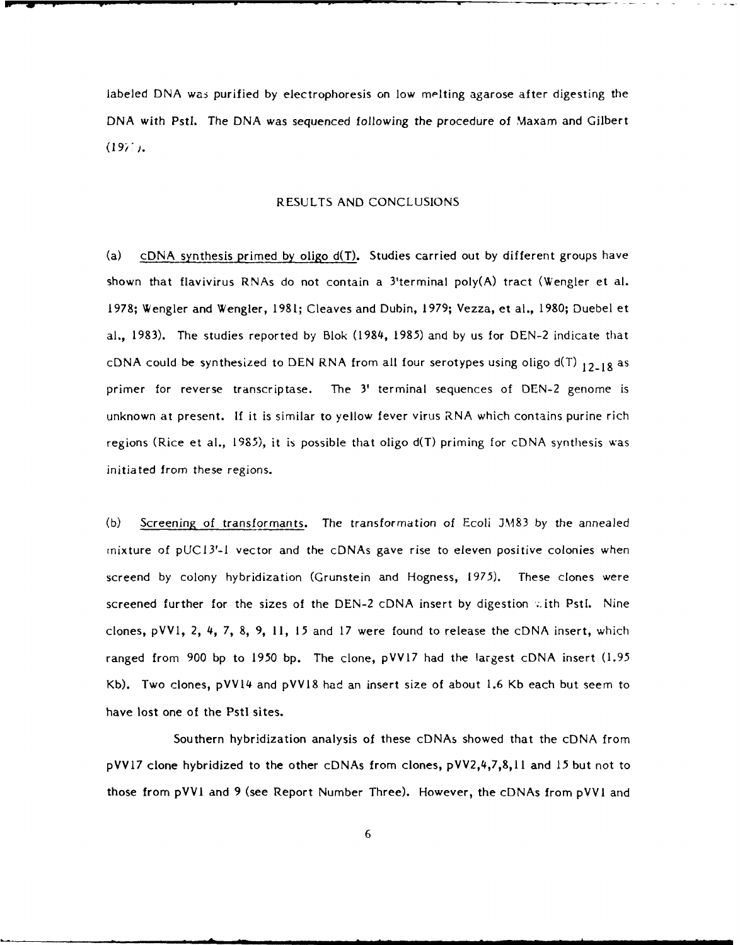labeled DNA was purified by electrophoresis on low melting agarose after digesting the DNA with Pstl. The DNA was sequenced following the procedure of Maxam and Gilbert  $(197)$ .

#### RESULTS AND CONCLUSIONS

(a) cDNA synthesis primed by oligo d(T). Studies carried out by different groups have shown that flavivirus RNAs do not contain a 3'terminal poly(A) tract (Wengler et al. 1978; Wengler and Wengler, **1981;** Cleaves and Dubin, 1979; Vezza, et al., 1980; Duebel et al., 1983). The studies reported by Blok (1984, 1985) and by us for DEN-2 indicate that cDNA could be synthesized to DEN RNA from all four serotypes using oligo d(T) **12-18** as primer for reverse transcriptase. The 3' terminal sequences of DEN-2 genome is unknown at present. If it is similar to yellow fever virus RNA which contains purine rich regions (Rice et al., 1985), it is possible that oligo  $d(T)$  priming for cDNA synthesis was initiated from these regions.

(b) Screening of transformants. The transformation of Ecoli **JM83** by the annealed mixture of pUC13'-I vector and the cDNAs gave rise to eleven positive colonies when screend by colony hybridization (Grunstein and Hogness, 1975). These clones were screened further for the sizes of the DEN-2 cDNA insert by digestion with Pstl. Nine clones, pVVI, 2, 4, 7, **8,** 9, **11,** 15 and 17 were found to release the cDNA insert, which ranged from 900 bp to 1950 bp. The clone, pVV17 had the largest cDNA insert (1.95 Kb). Two clones, pVV14 and pVVI8 had an insert size of about 1.6 Kb each but seem to have lost one of the PstI sites.

Southern hybridization analysis of these cDNAs showed that the cDNA from pVVI7 clone hybridized to the other cDNAs from clones, pVV2,4,7,8,11 and 15 but not to those from **pVVI** and 9 (see Report Number Three). However, the cDNAs from pVVI and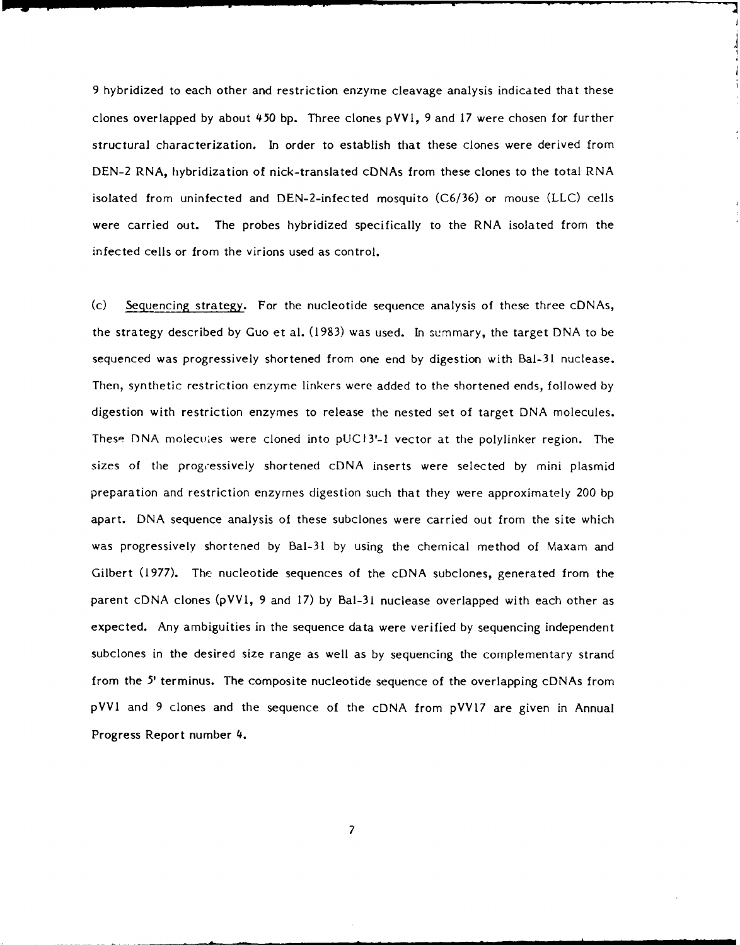9 hybridized to each other and restriction enzyme cleavage analysis indicated that these clones overlapped by about 450 bp. Three clones **pVVI,** 9 and 17 were chosen for further structural characterization. In order to establish that these clones were derived from DEN-2 RNA, hybridization of nick-translated cDNAs from these clones to the total RNA isolated from uninfected and DEN-2-infected mosquito (C6/36) or mouse (LLC) cells were carried out. The probes hybridized specifically to the RNA isolated from the infected cells or from the virions used as control.

(c) Sequencing strategy. For the nucleotide sequence analysis of these three cDNAs, the strategy described by Guo et al. (1983) was used. In summary, the target DNA to be sequenced was progressively shortened from one end by digestion with Bal-31 nuclease. Then, synthetic restriction enzyme linkers were added to the shortened ends, followed by digestion with restriction enzymes to release the nested set of target DNA molecules. These DNA molecules were cloned into pUCI3'-l vector at the polylinker region. The sizes of the progressively shortened cDNA inserts were selected by mini plasmid preparation and restriction enzymes digestion such that they were approximately 200 bp apart. DNA sequence analysis of these subclones were carried out from the site which was progressively shortened by Bal-31 by using the chemical method of Maxam and Gilbert (1977). The nucleotide sequences of the cDNA subclones, generated from the parent cDNA clones (pVVI, 9 and 17) by Bal-31 nuclease overlapped with each other as expected. Any ambiguities in the sequence data were verified by sequencing independent subclones in the desired size range as well as by sequencing the complementary strand from the 5' terminus. The composite nucleotide sequence of the overlapping cDNAs from pVVI and 9 clones and the sequence of the cDNA from pVVl7 are given in Annual Progress Report number 4.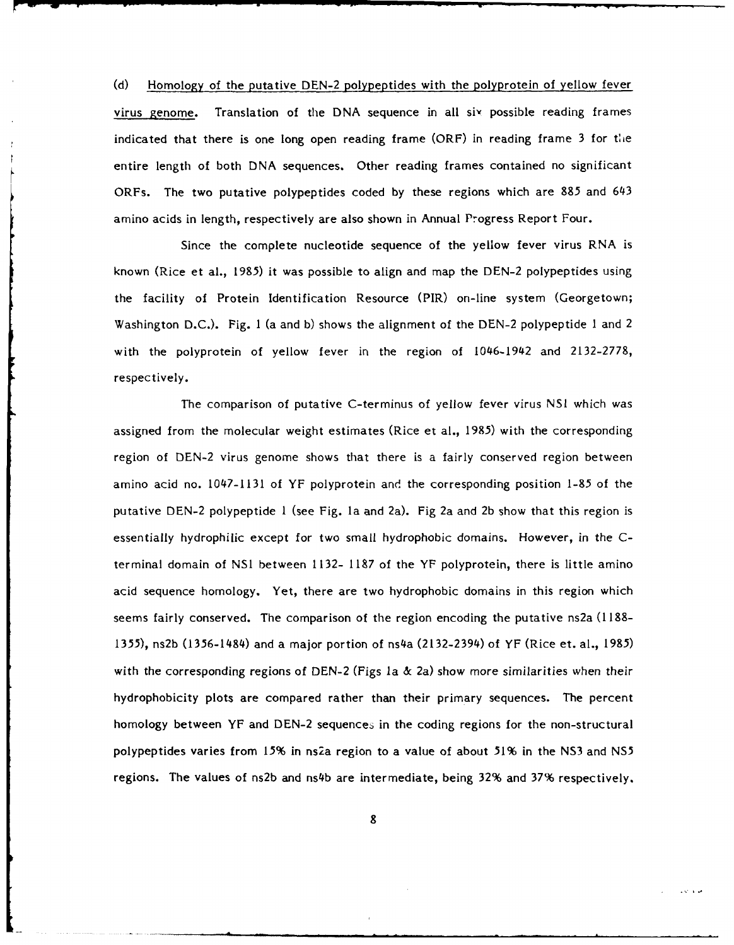(d) Homology of the putative DEN-2 polypeptides with the polyprotein of yellow fever virus genome. Translation of the DNA sequence in all six possible reading frames indicated that there is one long open reading frame (ORF) in reading frame 3 for the entire length of both DNA sequences. Other reading frames contained no significant ORFs. The two putative polypeptides coded by these regions which are 885 and 643 amino acids in length, respectively are also shown in Annual Progress Report Four.

Since the complete nucleotide sequence of the yellow fever virus RNA is known (Rice et al., 1985) it was possible to align and map the DEN-2 polypeptides using the facility of Protein Identification Resource (PIR) on-line system (Georgetown; Washington D.C.). Fig. 1 (a and b) shows the alignment of the DEN-2 polypeptide 1 and 2 with the polyprotein of yellow fever in the region of 1046-1942 and 2132-2778, respectively.

The comparison of putative C-terminus of yellow fever virus NSI which was assigned from the molecular weight estimates (Rice et al., 1985) with the corresponding region of DEN-2 virus genome shows that there is a fairly conserved region between amino acid no. 1047-1131 of YF polyprotein and the corresponding position 1-85 of the putative DEN-2 polypeptide **I** (see Fig. la and 2a). Fig 2a and 2b show that this region is essentially hydrophilic except for two small hydrophobic domains. However, in the Cterminal domain of **NSI** between 1132- 1187 of the YF polyprotein, there is little amino acid sequence homology. Yet, there are two hydrophobic domains in this region which seems fairly conserved. The comparison of the region encoding the putative ns2a (1188- 1355), ns2b (1356-1484) and a major portion of ns4a (2132-2394) of YF (Rice et. al., 1985) with the corresponding regions of DEN-2 (Figs 1a  $\&$  2a) show more similarities when their hydrophobicity plots are compared rather than their primary sequences. The percent homology between YF and DEN-2 sequences in the coding regions for the non-structural polypeptides varies from 15% in ns2a region to a value of about **51%** in the NS3 and NS5 regions. The values of ns2b and ns4b are intermediate, being 32% and **37%** respectively.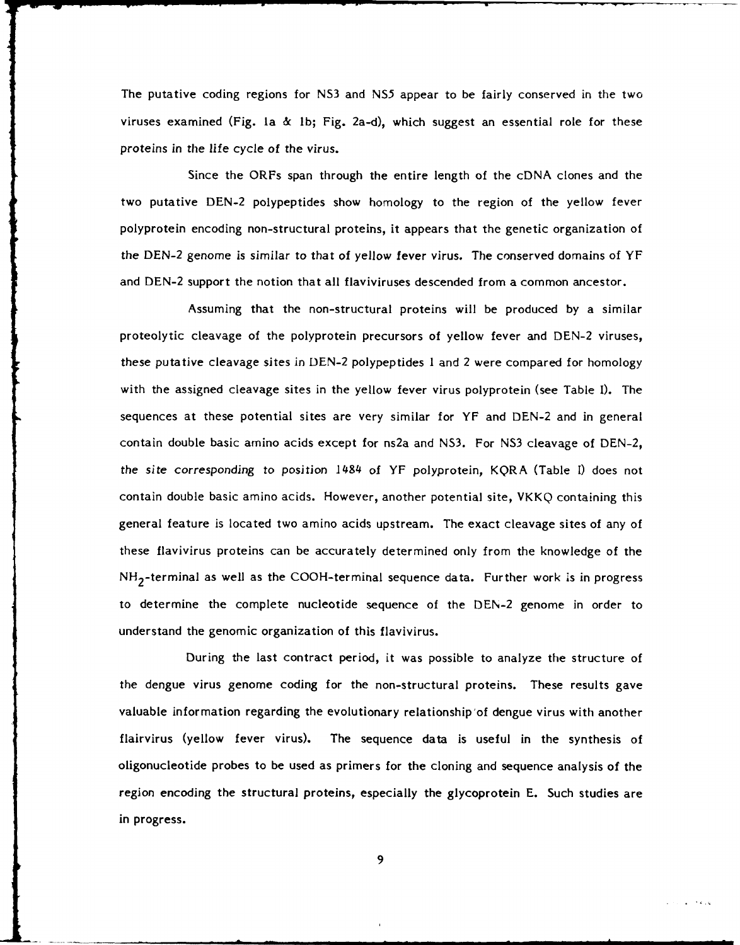The putative coding regions for NS3 and **NS5** appear to be fairly conserved in the two viruses examined (Fig. la & **Ib;** Fig. 2a-d), which suggest an essential role for these proteins in the life cycle of the virus.

Since the ORFs span through the entire length of the cDNA clones and the two putative DEN-2 polypeptides show homology to the region of the yellow fever polyprotein encoding non-structural proteins, it appears that the genetic organization of the DEN-2 genome is similar to that of yellow fever virus. The conserved domains of YF and DEN-2 support the notion that all flaviviruses descended from a common ancestor.

Assuming that the non-structural proteins will be produced by a similar proteolytic cleavage of the polyprotein precursors of yellow fever and DEN-2 viruses, these putative cleavage sites in DEN-2 polypeptides **I** and 2 were compared for homology with the assigned cleavage sites in the yellow fever virus polyprotein (see Table I). The sequences at these potential sites are very similar for YF and DEN-2 and in general contain double basic amino acids except for ns2a and NS3. For NS3 cleavage of DEN-2, the site *corresponding* to position 1484 of YF polyprotein, KQRA (Table **1)** does not contain double basic amino acids. However, another potential site, VKKQ containing this general feature is located two amino acids upstream. The exact cleavage sites of any of these flavivirus proteins can be accurately determined only from the knowledge of the  $NH<sub>2</sub>$ -terminal as well as the COOH-terminal sequence data. Further work is in progress to determine the complete nucleotide sequence of the DEN-2 genome in order to understand the genomic organization of this flavivirus.

During the last contract period, it was possible to analyze the structure of the dengue virus genome coding for the non-structural proteins. These results gave valuable information regarding the evolutionary relationship/of dengue virus with another flairvirus (yellow fever virus). The sequence data is useful in the synthesis of oligonucleotide probes to be used as primers for the cloning and sequence analysis of the region encoding the structural proteins, especially the glycoprotein **E.** Such studies are in progress.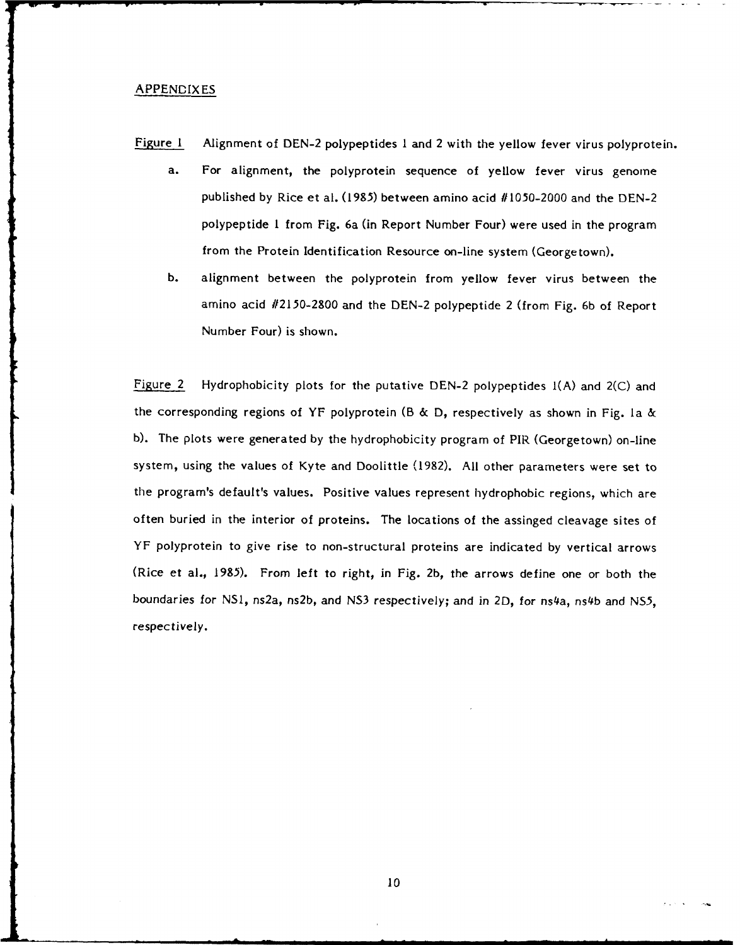#### APPENDIXES

Figure **I** Alignment of DEN-2 polypeptides **I** and 2 with the yellow fever virus polyprotein.

- a. For alignment, the polyprotein sequence of yellow fever virus genome published by Rice et al. (1985) between amino acid #1050-2000 and the DEN-2 polypeptide **I** from Fig. 6a (in Report Number Four) were used in the program from the Protein Identification Resource on-line system (Georgetown).
- **b.** alignment between the polyprotein from yellow fever virus between the amino acid #2150-2800 and the DEN-2 polypeptide 2 (from Fig. **6b** of Report Number Four) is shown.

Figure 2 Hydrophobicity plots for the putative DEN-2 polypeptides I(A) and 2(C) and the corresponding regions of YF polyprotein (B & D, respectively as shown in Fig. la & b). The plots were generated by the hydrophobicity program of PIR (Georgetown) on-line system, using the values of Kyte and Doolittle (1982). All other parameters were set to the program's default's values. Positive values represent hydrophobic regions, which are often buried in the interior of proteins. The locations of the assinged cleavage sites of YF polyprotein to give rise to non-structural proteins are indicated by vertical arrows (Rice et al., 1985). From left to right, in Fig. 2b, the arrows define one or both the boundaries for **NSI,** ns2a, ns2b, and NS3 respectively; and in **2D,** for ns4a, ns4b and *NS5,* respectively.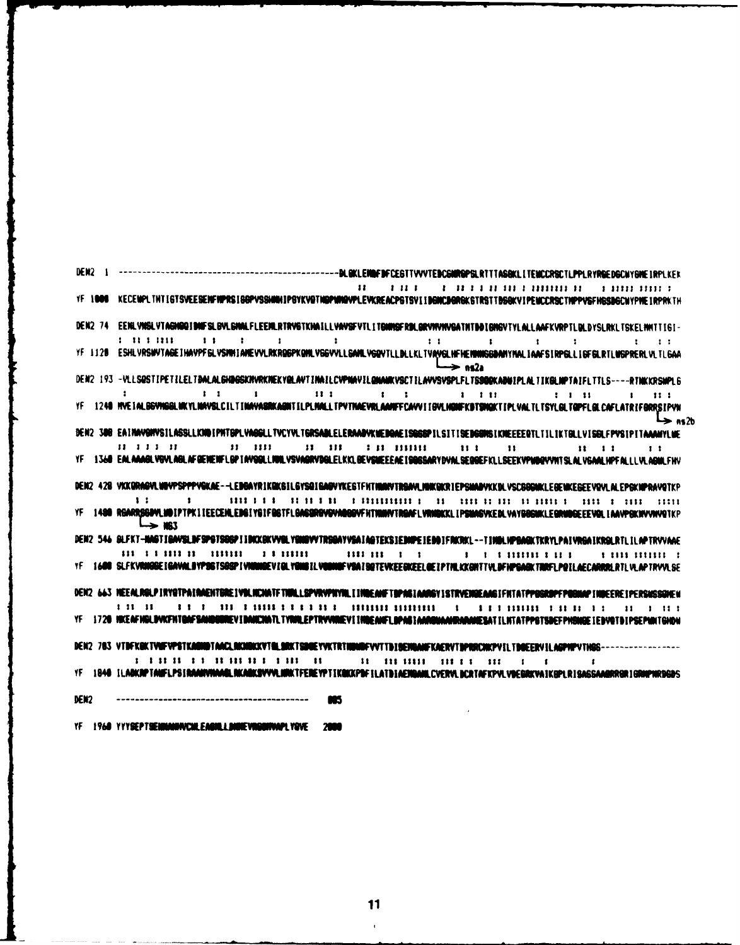**DEN2 I-------------------------** KLENFEcETTWTEDC6NmR9PTTAILTEVcR1TLPPLRY9ED6CWYBI(IR1KEk **<sup>I</sup>II IIIIIII 1\*112811111 13 11 1 111 31113111 fF** 366 KECEWL **TNT I6TSVEUE1WMI6P9UIM1PYTNBlfgPLVNRY EAM#801TSVI** li36NCh9TRSTTN6VIPEUCCR9CTNUYWFHIOUGCUYPI IRPRTH DEN2 74 EENLYWBLVTAGNOQIDNFSLGYLGNALFLEEMLRTRYGTKNAILLYAVSFVTLITGNMSFRDLGRYNVNVGATNTDDIGNGVTYLALLAAFKVRPTLDLDYSLRKLTSKELNHTTIGI- $\sim 20$  $\pm 1$  $\sim 10^{-11}$ **Contract Contract Street**  $\mathbf{r}$  and  $\mathbf{r}$ YF 1128 ESHLYRSWYTAGEIHAVPFGLYSIWITANEVVLRKROGPKONLYGGVVLLGANLYGOVTLLDLLKLTVAVGLHFHENNINGGDANYNALIAAFSTRPGLLIGFGLRTLWGPRERLVLTLGAA  $\rightarrow$   $\rightarrow$   $\rightarrow$   $\rightarrow$ DEN2 193 -VLLSQSTIPETILELT<del>DALALGKOGS</del>KHVRKHEKYQLAVTINAILCVPNAVILQNANKVSCTILAVVSVSPLFLTSSOQKADUIPLALTIKGLNPTAIFLTTLS----RTNKKRSMPL6 **II I I it: I I I a 1a: 3 111 1 I 1321** VF 1248 WVEIALBEVWBBLUKYLMAVSLCILTINAVASRKABNTILPLMALLTPVTNAEVRLAANFFCAVVIIGVLNBNFKBTSWGKTIPLVALTLTSYLGLTGPFLGLCAFLATRIFGRRSIPVW  $L_{\geq 0.2b}$ DEN2 308 EAINWONVSILASSLLKNOIPHTGPLVAGGLLTVCYVLTGRSADLELERAADVKWEDGAEISGSGPILSITISEDGGMSIKNEEEE@TLTILIKTGLLVISGLFPVSIPITAAANYLWE **131 111it 11 3111 13 111 13 i 33t 1 333II It it 33 :8aI <sup>3</sup>** YF 1360 EALAAAGLYGYLAGLAFGEWEWFLGPTAVGGLLWWLYSYAGRYDGLELKKLGEVSWEEEAETSGGSARYDVALSEGGEFKLLSEEKVPWBQVVNTSLALVGAALHPFALLLVLAGWLFHV RM2 428 VKK**ORAGVLWUVPSPPPVGKAE--LEDGAYRIKQKSILGYSQIGAGVYKEGTFHTHMNVTRGAVLMWKQKRIEPSHADVKKBLVSCGGGWKLEGEWKEGEEVOVLALEPSKWPRAVQTKP I: I 33I I3 33 I 133111 I3 I3 11 133 <sup>11332</sup>3: 3 13111 1 11311 3 1111 :11 :I**  $1.1<sub>1</sub>$ VF 1480 RGARRSGIVLINDIPTPKIIEECENLEDGIYGIFGGTFLGAGGRGVOVAGGOVFHTWMVTRGAFLVRNIKKLIPSIMGVKEDLVAYGOGMKLEGRUDGEEEVOLIAAVPOKWVWVOTKP  $\rightarrow$  NG3 DEN2 544 BLFKT-IMSTIBAVBLIFSPSTSBSPIIDKKGKVVBLYBNBVVTRSBAYVSAIABTEKSIEDNPEIEDDIFAKRKL--TIMULHPBABKTKRYLPAIVRGAIKRGLRTLILAPTRVVAAE **I3 I I 3 3 1 3 3111331 1 3 3 33 111 31133 3 1 a I I3 I I333 I I I 3I I333III 131 3II III<sup>3</sup>** YF 1600 SLFKVRNGGEIGAVALBYPSGTSGGPIVNOMGEVIGLYGNUSILVOONGFVBAISGTEVKEEEKEELGEIPTHLKKGNTTVLDFWPGAGKTARFLPQILAECARRALRTLVLAPTRVVLSE DEN2 663 HEEALROLP IRVOTPA INAEHTORE IVOLNDIMTFTNIKLSPVRVPNYNLI INDEANFTOPAS IAANGY ISTRVENGEAAG IFNTATPPOSROPFPOSHAP INDEERE IPERGASSOHEN **3 I I3 I3 I I I3 1 3 I 3 3 31 1 3111113 1111111 1 1 1 1 1111111 1 13 331 1 11 1 1Il** YF 1720 HKEAFI**IGILDVKFNTOAFSANDUDREVI BANCNATLIYRNLEPTRVVRKEVI INDEANFLOPASIAARDUAANRAAANESATILMTATPPBTSDEFPHDNGEIEDVOTDIPSEPUNTGHON** DEN2 783 VTDFK**aktynfypstkaandtaaclaknakkytalskktsdae**yvktrtnundfvyttdisendanfkaervtdprrchkpviltdoeervilagpypvths6----------------YF 1846 ILABKAPTANFLPSIRAANVAAAGLAKAGKSVVVLINKTFEREYPTIKGKKPBFILATDIAENGANLCVERVLDCRTAFKPVLVDEGRKVAIKGPLRISASSAAGRRGRIGRNPNRDGDS **DE02 -------------------------------------- m** YF **1968 YYYSEPTSENNANNVCHLEAGNLLDNNEVRGONVAPLYGVE**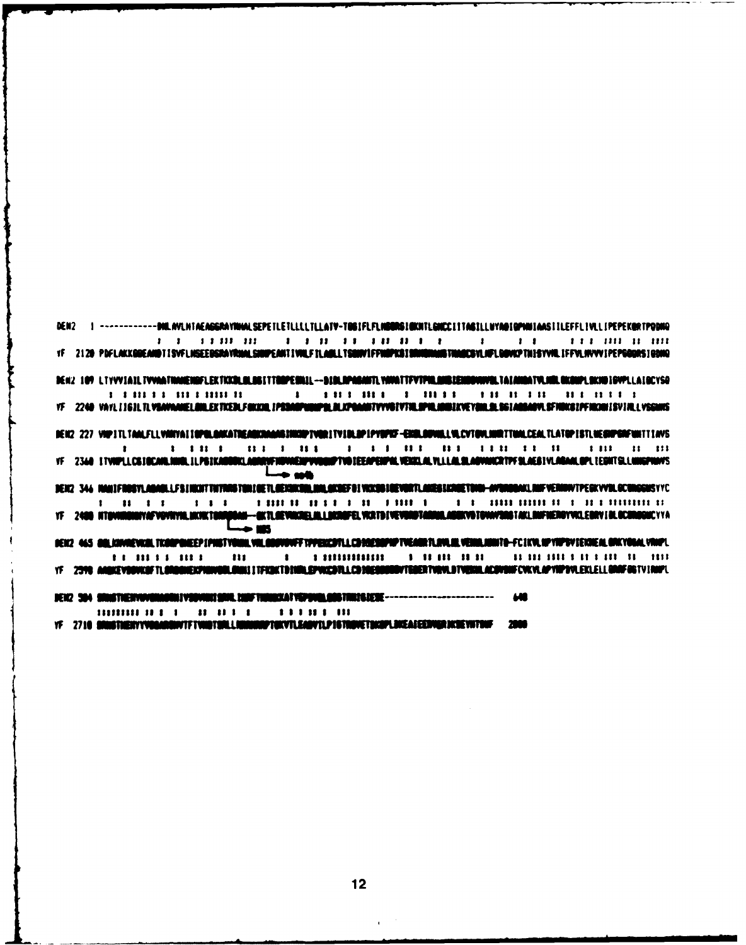| DE N?                                                                                                                                      |
|--------------------------------------------------------------------------------------------------------------------------------------------|
| ,,,,,,,,,                                                                                                                                  |
| 2120 PDFLAKKOREANDTISVFLNSEERSDAVRMALSNUPEANTIVNLFTLANLLTSRUPIFFWDPKBIRMMANNSTMARKSYLNPLDAVKPTNISVVNLIFFVLNVVVIPEPGRORSIRDNO               |
|                                                                                                                                            |
| DENZ 107 LTYVVIAILTVVAATMANENAFLEKTKKOLOLOGITTOOPEDAIL--DJOLMAGANTLYAVATTFVTPIAJANGIEMOOVAVOLTAJANDATVLHMLOKOMPLOKNUIGVPLLAIDCYSO          |
| 111 11 111 111 1111 1<br>.                                                                                                                 |
| YF - 2240 -VAYL I 161L TL VSAVAANEL MILEKTKEIN,FAKKKIL IPRAAMPALIN JAPAAMSTVYVOIVTHLAPHLHMILEKYKKE ALSGEAARGAN SPHOKOENSVIHLL VSGMYS       |
|                                                                                                                                            |
| DEKZ 227 VNP1TLTAALFLLVANVAIT <b>apalaakataeaakataka muuptvaritvidlapievapva-ekalauvallvlcvtovluortvaalcealtlatopistlueauponfunttiavs</b>  |
| 1.11<br>$\mathbf{z}$<br>- 1 1 1                                                                                                            |
| YF 2340 I TWPLLCSIGCANLIMIN, ILPSIKABBBKLAGNAVFHUWAENPVVDGAPTVDIEEAPENPM.VEHKLALVLLLALSLADVANCRTPFSLAESIVLAGAALAPLIEENTSLLMHEPHAVS         |
|                                                                                                                                            |
| REKO (344) MAN DERRAYLARARLA SUKKATTUTNIR TRULIE TLABARKAN MALAKSER UNKARA MEMULAKAN LAMARKAN ALAN MENUWITPERKWIN OCHROOKSYYC              |
| $\mathbf{1}$<br>                                                                                                                           |
| 2400 HTOMODOMYAFYOVRYNLAKIKTOODOGAN--AKTLAEVAKOELALIAKOAFELVKRTDIVEVOODTADDALADOKVOTOVAVOODTAKLANFIEROYVKLEOKVIALOCOROGOCYYA               |
| BEK2-445-BIRLINNIENKIRLINIGREHREEP (PHISTVOHN, VIL GROVOVAT VAPEKEDVLLED)GEGROVPTVEARRYLINIGREHLEDING-FC (KVLOPVVPDV) EENGEALGAKYOGALVANPL |
| 11 111 1111 1 11 1 111 11<br><br>.<br>$\mathbf{m}$                                                                                         |
| 2996 AANGVADIKAFTLAAANGUVININAALANALITFENETDENALAPUUCDILLCDEAAANAVTAAGRTUUVLDTVANILACAVONFCVKVLAPVIPDVLEKLELLOAFOGTVLANPL                  |
|                                                                                                                                            |
| <u>1912 - 194 - SIMKTIENVOORMAAN IVSDONKI SAN, HAP TIMMAAA TYSPONIA AAN TANIA HET NIE 1940 - 1940 1940 1940 1940</u>                       |
| $\bf{u}$ $\bf{u}$ $\bf{1}$<br><b><i>REARBERT</i></b>                                                                                       |
| YF – 2710 - DANG THEINY YVOGARDINY TFT VANFTDALLANMINING TOKYTLEADY TLP 16 TROVET BKOPLIKEA LEEDVANA IKREYN TOMF                           |

12

 $\sim 10^{-10}$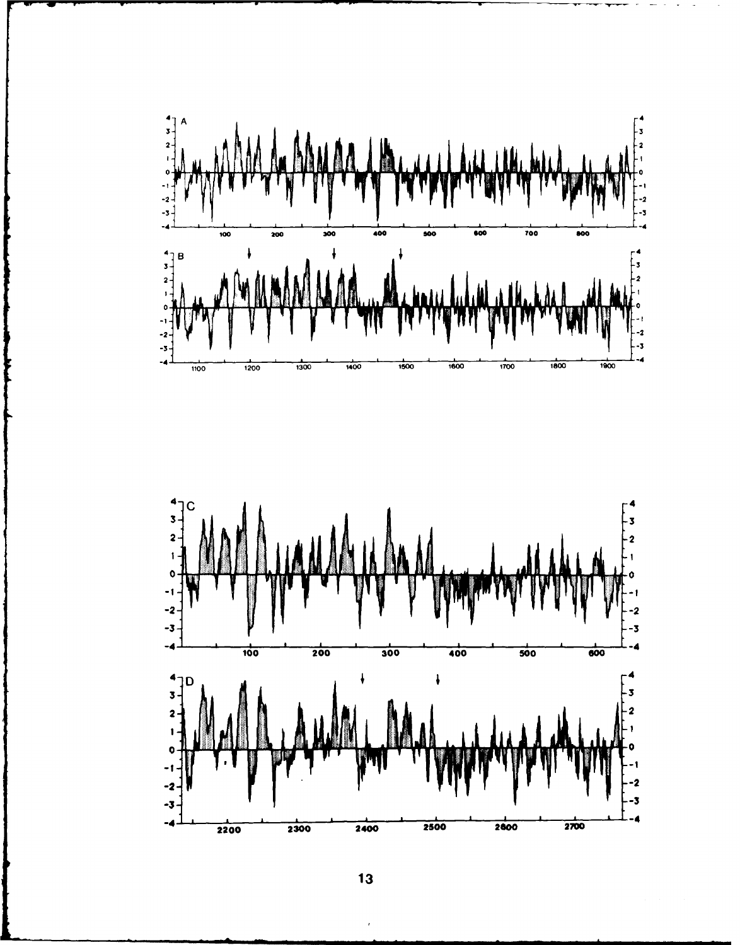



**13**

 $\overline{1}$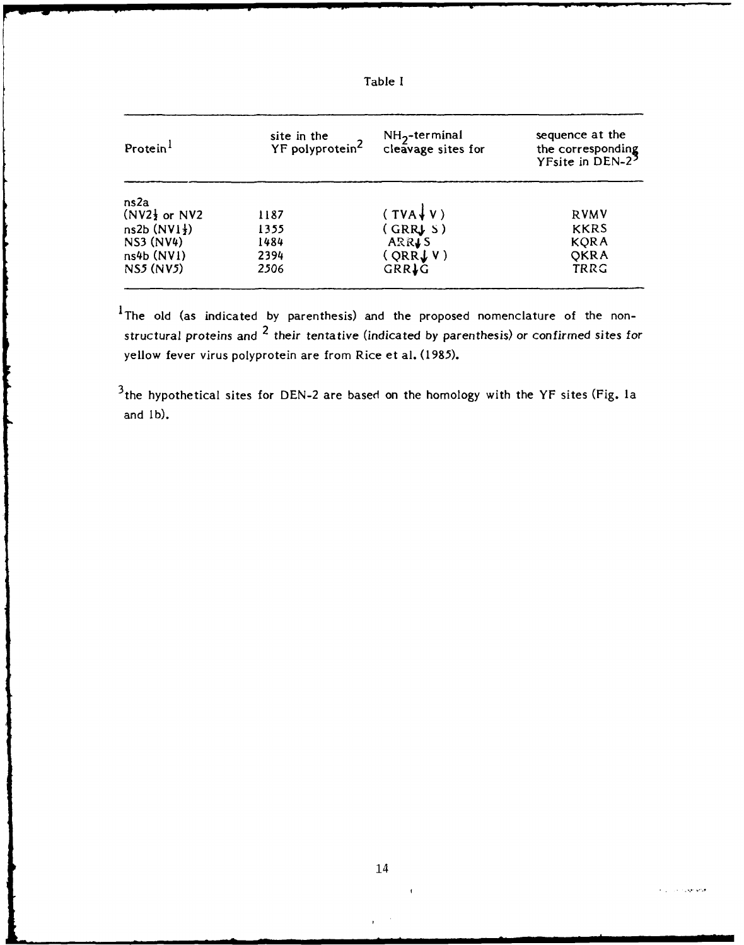| able |
|------|
|------|

| Protein <sup>1</sup>   | site in the<br>YF polyprotein <sup>2</sup> | $NH2$ -terminal<br>cleavage sites for | sequence at the<br>the corresponding<br>YFsite in DEN-23 |  |
|------------------------|--------------------------------------------|---------------------------------------|----------------------------------------------------------|--|
| ns2a<br>$(NV2)$ or NV2 | 1187                                       | $(TVA$ $\downarrow$ V)                | RVMV                                                     |  |
| ns2b (NVI)             | 1355                                       | (GRRJ S)                              | <b>KKRS</b>                                              |  |
| <b>NS3 (NV4)</b>       | 1484                                       | <b>ARRIS</b>                          | <b>KORA</b>                                              |  |
| $ns4b$ (NV1)           | 2394                                       | (QRRUV)                               | <b>QKRA</b>                                              |  |
| NS5(NV5)               | 2506                                       | GRRIG                                 | TRRG                                                     |  |

 $<sup>1</sup>$ The old (as indicated by parenthesis) and the proposed nomenclature of the non-</sup> structural proteins and 2 their tentative (indicated by parenthesis) or confirmed sites for yellow fever virus polyprotein are from Rice et al. (1985).

 $3$ the hypothetical sites for DEN-2 are based on the homology with the YF sites (Fig. 1a and Ib).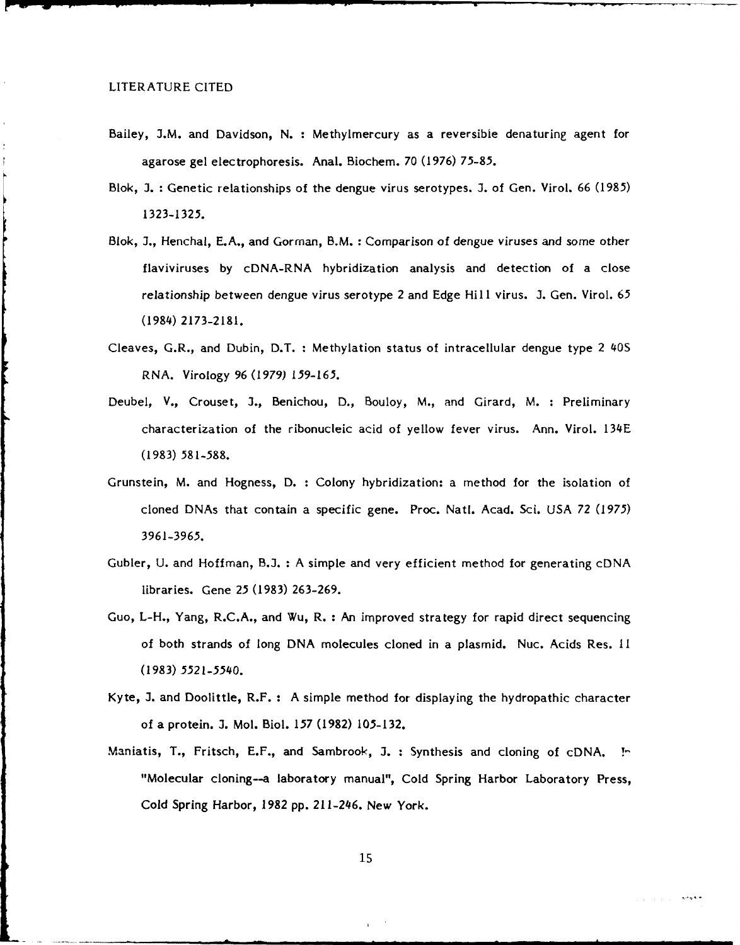- Bailey, J.M. and Davidson, N. **:** Methylmercury as a reversible denaturing agent for agarose gel electrophoresis. Anal. Biochem. 70 (1976) 75-85.
- Blok, **J. :** Genetic relationships of the dengue virus serotypes. *3.* of Gen. Virol. 66 (1985) 1323-1325.
- Blok, *3.,* Henchal, **E.A.,** and Gorman, B.M. : Comparison of dengue viruses and some other flaviviruses by cDNA-RNA hybridization analysis and detection of a close relationship between dengue virus serotype 2 and Edge *Hi* **I** virus. **3.** Gen. Virol. 65 (1984) 2173-2181.
- Cleaves, G.R., and Dubin, D.T. : Methylation status of intracellular dengue type 2 40S RNA. Virology 96 (1979) 159-165.
- Deubel, V., Crouset, **J.,** Benichou, **D.,** Bouloy, M., and Girard, M. **:** Preliminary characterization of the ribonucleic acid of yellow fever virus. Ann. Virol. 134E (1983) 581-588.
- Grunstein, M. and Hogness, **D.** : Colony hybridization: a method for the isolation of cloned DNAs that contain a specific gene. Proc. Natl. Acad. Sci. USA 72 (1975) **3961-3965.**
- Gubler, **U.** and Hoffman, **B.J.** : A simple and very efficient method for generating cDNA libraries. Gene **25** (1983) 263-269.
- Guo, L-H., Yang, R.C.A., and Wu, R. **:** An improved strategy for rapid direct sequencing of both strands of long DNA molecules cloned in a plasmid. Nuc. Acids Res. **11 (1983) 5521-5540.**
- Kyte, *3.* and Doolittle, R.F. **:** A simple method for displaying the hydropathic character of a protein. *3.* Mol. Biol. **157 (1982) 105-132.**
- Maniatis, T., Fritsch, **E.F.,** and Sambrook, *3.* : Synthesis and cloning of cDNA. ! "Molecular cloning--a laboratory manual", Cold Spring Harbor Laboratory Press, Cold Spring Harbor, **1982 pp.** 211-246. New York.

 $\mathbf{g}(\mathbf{e},\mathbf{g},\mathbf{x})$  .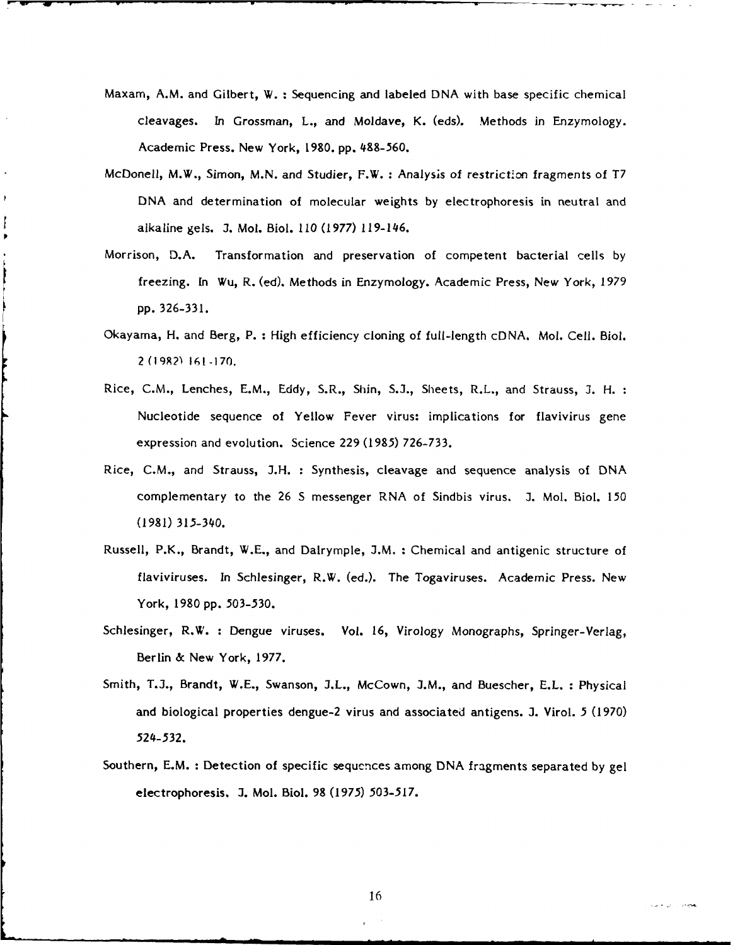- Maxam, A.M. and Gilbert, W. **:** Sequencing and labeled DNA with base specific chemical cleavages. In Grossman, L., and Moldave, K. (eds). Methods in Enzymology. Academic Press. New York, **1980. pp.** 488-560.
- McDonell, M.W., Simon, **M.N.** and Studier, F.W. **:** Analysis of restriction fragments of **T7** DNA and determination of molecular weights by electrophoresis in neutral and alkaline gels. 3. Mol. Biol. 110 (1977) 119-146.
- Morrison, **D.A.** Transformation and preservation of competent bacterial cells by freezing. In Wu, R. (ed). Methods in Enzymology. Academic Press, New York, 1979 **pp.** 326-331.
- Okayama, H. and Berg, P. **:** High efficiency cloning of full-length cDNA. Mol. Cell. Biol. 2 **(1992) 161t- 170.**
- Rice, C.M., Lenches, E.M., Eddy, S.R., Shin, **S.3.,** Sheets, R.L., and Strauss, **3.** H. Nucleotide sequence of Yellow Fever virus: implications for flavivirus gene expression and evolution. Science 229 (1985) 726-733.
- Rice, C.M., and Strauss, J.H. **:** Synthesis, cleavage and sequence analysis of DNA complementary to the 26 S messenger RNA of Sindbis virus. **3.** Mol. Biol. 150 (1981) 315-340.
- Russell, P.K., Brandt, W.E., and Dalrymple, J.M. : Chemical and antigenic structure of flaviviruses. In Schlesinger, R.W. (ed.). The Togaviruses. Academic Press. New York, 1980 pp. 503-530.
- Schlesinger, R.W. : Dengue viruses. Vol. **16,** Virology Monographs, Springer-Verlag, Berlin & New York, 1977.
- Smith, T.3., Brandt, W.E., Swanson, **3.L.,** McCown, 3.M., and Buescher, E.L. : Physical and biological properties dengue-2 virus and associated antigens. **3.** Virol. 5 (1970) 524-532.
- Southern, E.M. : Detection of specific sequences among DNA fragments separated **by** gel electrophoresis. **3.** Mol. Biol. **98 (1975)** 503-517.

فضحت الأنواعيسة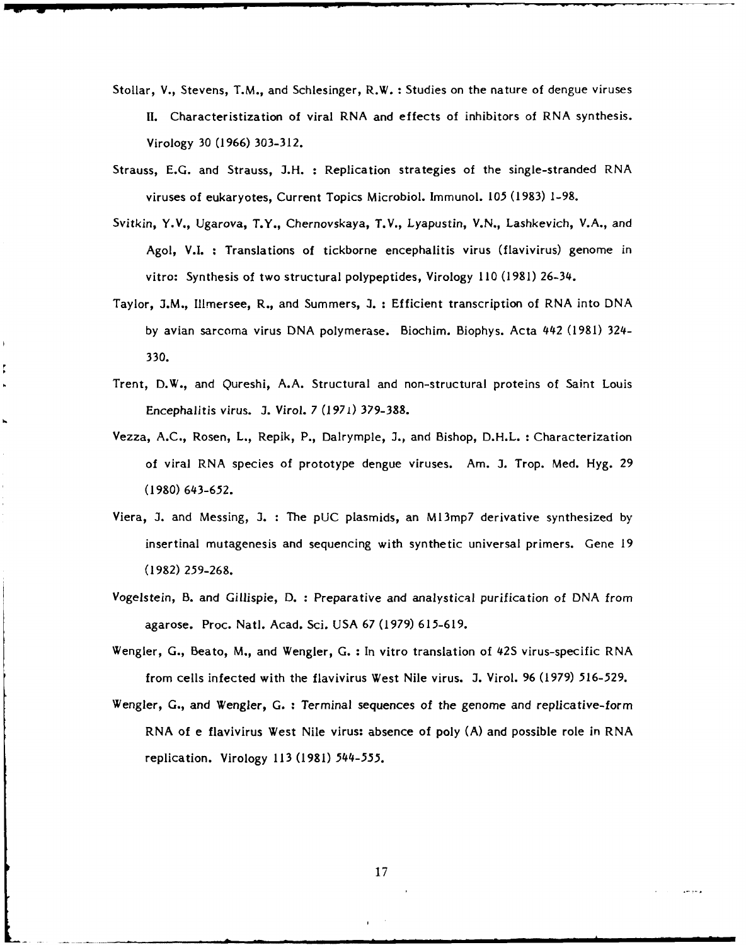- Stollar, V., Stevens, T.M., and Schlesinger, R.W. **:** Studies on the nature of dengue viruses It. Characteristization of viral RNA and effects of inhibitors of RNA synthesis. Virology **30** (1966) **303-312.**
- Strauss, **E.G.** and Strauss, **J.H. :** Replication strategies of the single-stranded RNA viruses of eukaryotes, Current Topics Microbiol. Immunol. **105 (1983) 1-98.**
- Svitkin, Y.V., Ugarova, T.Y., Chernovskaya, T.V., Lyapustin, V.N., Lashkevich, V.A., and Agol, V.I. : Translations of tickborne encephalitis virus (flavivirus) genome in vitro: Synthesis of two structural polypeptides, Virology **110** (1981) 26-34.
- Taylor, J.M., Illmersee, R., and Summers, 3. **:** Efficient transcription of RNA into **DNA** by avian sarcoma virus DNA polymerase. Biochim. Biophys. Acta 442 (1981) 324- 330.
- Trent, D.W., and Qureshi, A.A. Structural and non-structural proteins of Saint Louis Encephalitis virus. **J.** Virol. **7** (1971) 379-388.
- Vezza, **A.C.,** Rosen, L., Repik, P., Dalrymple, **J.,** and Bishop, D.H.L. **:** Characterization of viral RNA species of prototype dengue viruses. Am. **J.** Trop. Med. **Hyg. 29 (1980) 643-652.**
- Viera, **J.** and Messing, **J. :** The **pUC** plasmids, an MI3mp7 derivative synthesized by insertinal mutagenesis and sequencing with synthetic universal primers. Gene **19 (1982) 259-268.**
- Vogelstein, B. and Gillispie, **D. :** Preparative and analystical purification of **DNA** from agarose. Proc. Nat]. Acad. Sci. **USA 67 (1979) 615-619.**
- Wengler, **G.,** Beato, M., and Wengler, **G. :** In vitro translation of **42S** virus-specific RNA from cells infected with the flavivirus West Nile virus. **J.** Virol. **96 (1979) 516-529.**
- Wengler, G., and Wengler, G. **:** Terminal sequences of the genome and replicative-form RNA of e flavivirus West Nile virus: absence of poly (A) and possible role in RNA replication. Virology 113 (1981) 544-555.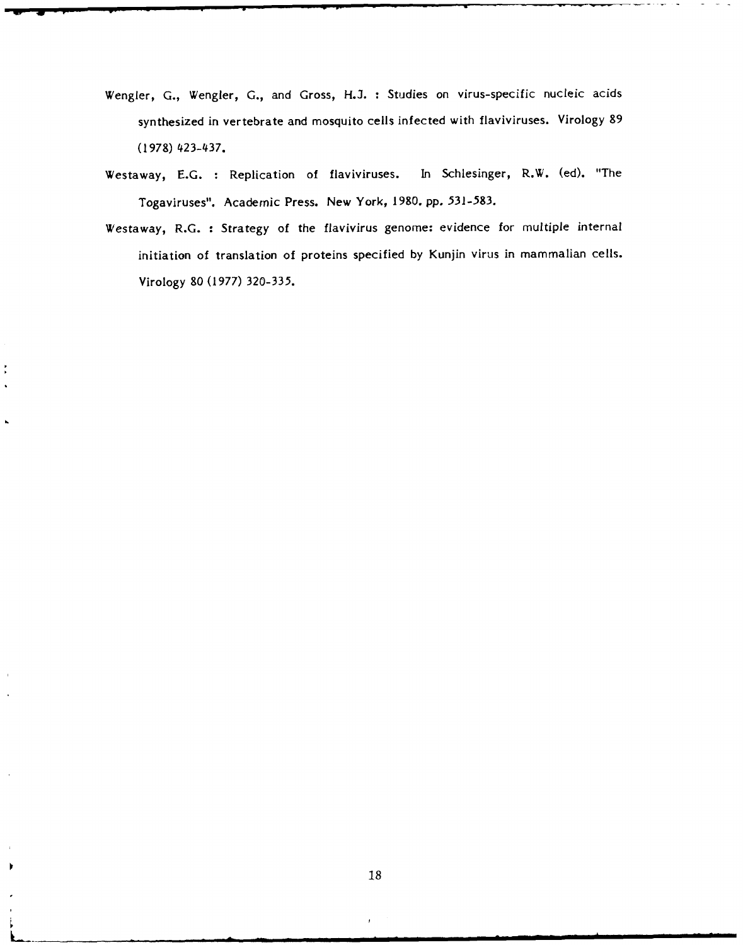- Wengler, G., Wengler, G., and Gross, H.3. **:** Studies on virus-specific nucleic acids synthesized in vertebrate and mosquito cells infected with flaviviruses. Virology 89 (1978) 423-437.
- Westaway, E.G. : Replication of flaviviruses. In Schlesinger, R.W. (ed). "The Togaviruses". Academic Press. New York, **1980. pp. 531-583.**
- Westaway, R.G. **:** Strategy of the flavivirus genome: evidence for multiple internal initiation of translation of proteins specified by Kunjin virus in mammalian cells. Virology 80 **(1977)** 320-335.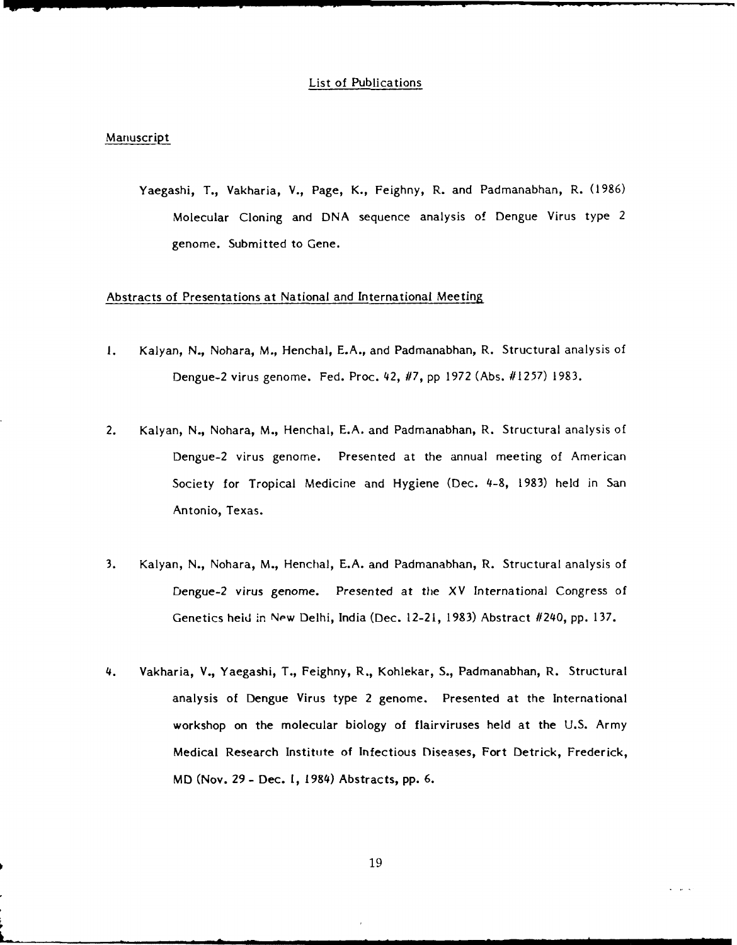## List of Publications

#### Manuscript

Yaegashi, T., Vakharia, V., Page, K., Feighny, R. and Padmanabhan, R. (1986) Molecular Cloning and DNA sequence analysis of Dengue Virus type 2 genome. Submitted to Gene.

#### Abstracts of Presentations at National and International Meeting

- **1.** Kalyan, N., Nohara, M., Henchal, E.A., and Padmanabhan, R. Structural analysis of Dengue-2 virus genome. Fed. Proc. 42, */7,* pp 1972 (Abs. **#1257)** 1983.
- 2. Kalyan, N., Nohara, M., Henchal, E.A. and Padmanabhan, R. Structural analysis of Dengue-2 virus genome. Presented at the annual meeting of American Society for Tropical Medicine and Hygiene (Dec. 4-8, 1983) held in San Antonio, Texas.
- 3. Kalyan, N., Nohara, M., Henchal, E.A. and Padmanabhan, R. Structural analysis of Dengue-2 virus genome. Presented at the XV International Congress of Genetics held in New Delhi, India (Dec. 12-21, 1983) Abstract #240, pp. 137.
- 4. Vakharia, V., Yaegashi, T., Feighny, R., Kohlekar, **S.,** Padmanabhan, R. Structural analysis of Dengue Virus type 2 genome. Presented at the International workshop on the molecular biology of flairviruses held at the **U.S.** Army Medical Research Institute of Infectious Diseases, Fort Detrick, Frederick, MD (Nov. 29 **-** Dec. **1,** 1984) Abstracts, **pp.** 6.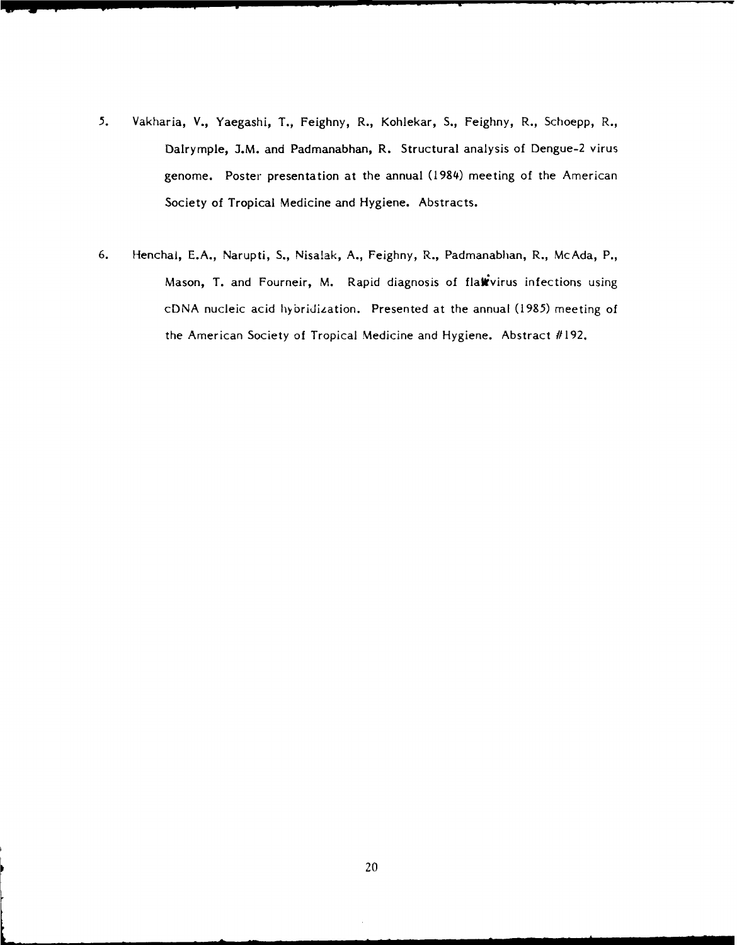- 5. Vakharia, V., Yaegashi, T., Feighny, R., Kohlekar, **S.,** Feighny, R., Schoepp, R., Dalrymple, J.M. and Padmanabhan, R. Structural analysis of Dengue-2 virus genome. Poster presentation at the annual (1984) meeting of the American Society of Tropical Medicine and Hygiene. Abstracts.
- 6. Henchal, E.A., Narupti, S., Nisalak, A., Feighny, R., Padmanabhan, R., McAda, P., Mason, T. and Fourneir, M. Rapid diagnosis of flawvirus infections using cDNA nucleic acid hybridization. Presented at the annual (1985) meeting of the American Society of Tropical Medicine and Hygiene. Abstract #192.